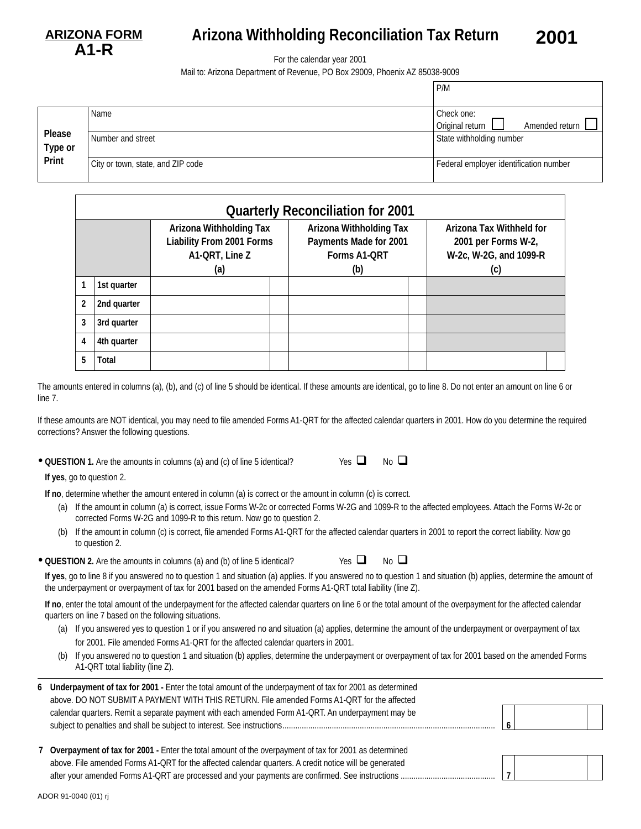

## **Arizona Withholding Reconciliation Tax Return 2001**

For the calendar year 2001

Mail to: Arizona Department of Revenue, PO Box 29009, Phoenix AZ 85038-9009

|                   |                                   | P/M                                             |  |  |
|-------------------|-----------------------------------|-------------------------------------------------|--|--|
|                   | Name                              | Check one:<br>Original return<br>Amended return |  |  |
| Please<br>Type or | Number and street                 | State withholding number                        |  |  |
| Print             | City or town, state, and ZIP code | Federal employer identification number          |  |  |

|   | <b>Quarterly Reconciliation for 2001</b> |                                                                                             |  |                                                                                        |  |                                                                                  |  |  |  |
|---|------------------------------------------|---------------------------------------------------------------------------------------------|--|----------------------------------------------------------------------------------------|--|----------------------------------------------------------------------------------|--|--|--|
|   |                                          | <b>Arizona Withholding Tax</b><br><b>Liability From 2001 Forms</b><br>A1-QRT, Line Z<br>(a) |  | <b>Arizona Withholding Tax</b><br>Payments Made for 2001<br><b>Forms A1-QRT</b><br>(b) |  | Arizona Tax Withheld for<br>2001 per Forms W-2,<br>W-2c, W-2G, and 1099-R<br>(c) |  |  |  |
|   | 1st quarter                              |                                                                                             |  |                                                                                        |  |                                                                                  |  |  |  |
| 2 | 2nd quarter                              |                                                                                             |  |                                                                                        |  |                                                                                  |  |  |  |
|   | 3rd quarter                              |                                                                                             |  |                                                                                        |  |                                                                                  |  |  |  |
| 4 | 4th quarter                              |                                                                                             |  |                                                                                        |  |                                                                                  |  |  |  |
| 5 | Total                                    |                                                                                             |  |                                                                                        |  |                                                                                  |  |  |  |

The amounts entered in columns (a), (b), and (c) of line 5 should be identical. If these amounts are identical, go to line 8. Do not enter an amount on line 6 or line 7.

If these amounts are NOT identical, you may need to file amended Forms A1-QRT for the affected calendar quarters in 2001. How do you determine the required corrections? Answer the following questions.

 $\bullet$  QUESTION 1. Are the amounts in columns (a) and (c) of line 5 identical? Yes  $\Box$  No  $\Box$ 

| No<br>v<br>۰. |
|---------------|
|---------------|

**If yes**, go to question 2.

**If no**, determine whether the amount entered in column (a) is correct or the amount in column (c) is correct.

- (a) If the amount in column (a) is correct, issue Forms W-2c or corrected Forms W-2G and 1099-R to the affected employees. Attach the Forms W-2c or corrected Forms W-2G and 1099-R to this return. Now go to question 2.
- (b) If the amount in column (c) is correct, file amended Forms A1-QRT for the affected calendar quarters in 2001 to report the correct liability. Now go to question 2.
- **QUESTION 2.** Are the amounts in columns (a) and (b) of line 5 identical? Yes

| г |  |
|---|--|
| ٠ |  |

**If yes**, go to line 8 if you answered no to question 1 and situation (a) applies. If you answered no to question 1 and situation (b) applies, determine the amount of the underpayment or overpayment of tax for 2001 based on the amended Forms A1-QRT total liability (line Z).

**If no**, enter the total amount of the underpayment for the affected calendar quarters on line 6 or the total amount of the overpayment for the affected calendar quarters on line 7 based on the following situations.

- (a) If you answered yes to question 1 or if you answered no and situation (a) applies, determine the amount of the underpayment or overpayment of tax for 2001. File amended Forms A1-QRT for the affected calendar quarters in 2001.
- (b) If you answered no to question 1 and situation (b) applies, determine the underpayment or overpayment of tax for 2001 based on the amended Forms A1-QRT total liability (line Z).

| 6 Underpayment of tax for 2001 - Enter the total amount of the underpayment of tax for 2001 as determined |  |  |
|-----------------------------------------------------------------------------------------------------------|--|--|
| above. DO NOT SUBMIT A PAYMENT WITH THIS RETURN. File amended Forms A1-QRT for the affected               |  |  |
| calendar quarters. Remit a separate payment with each amended Form A1-QRT. An underpayment may be         |  |  |
|                                                                                                           |  |  |
|                                                                                                           |  |  |

| 7 Overpayment of tax for 2001 - Enter the total amount of the overpayment of tax for 2001 as determined |  |
|---------------------------------------------------------------------------------------------------------|--|
| above. File amended Forms A1-QRT for the affected calendar quarters. A credit notice will be generated  |  |
|                                                                                                         |  |